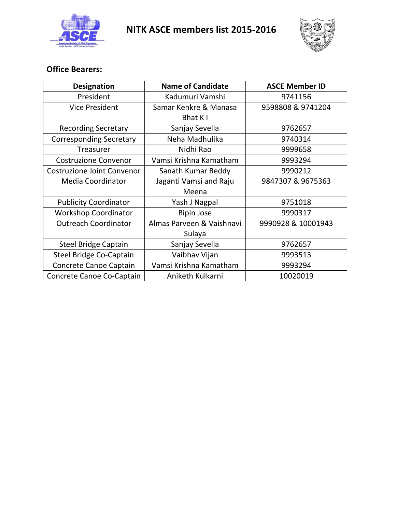



## **Office Bearers:**

| <b>Designation</b>                | <b>Name of Candidate</b>  | <b>ASCE Member ID</b> |
|-----------------------------------|---------------------------|-----------------------|
| President                         | Kadumuri Vamshi           | 9741156               |
| <b>Vice President</b>             | Samar Kenkre & Manasa     | 9598808 & 9741204     |
|                                   | Bhat K I                  |                       |
| <b>Recording Secretary</b>        | Sanjay Sevella            | 9762657               |
| <b>Corresponding Secretary</b>    | Neha Madhulika            | 9740314               |
| Treasurer                         | Nidhi Rao                 | 9999658               |
| <b>Costruzione Convenor</b>       | Vamsi Krishna Kamatham    | 9993294               |
| <b>Costruzione Joint Convenor</b> | Sanath Kumar Reddy        | 9990212               |
| <b>Media Coordinator</b>          | Jaganti Vamsi and Raju    | 9847307 & 9675363     |
|                                   | Meena                     |                       |
| <b>Publicity Coordinator</b>      | Yash J Nagpal             | 9751018               |
| <b>Workshop Coordinator</b>       | <b>Bipin Jose</b>         | 9990317               |
| <b>Outreach Coordinator</b>       | Almas Parveen & Vaishnavi | 9990928 & 10001943    |
|                                   | Sulaya                    |                       |
| <b>Steel Bridge Captain</b>       | Sanjay Sevella            | 9762657               |
| <b>Steel Bridge Co-Captain</b>    | Vaibhav Vijan             | 9993513               |
| Concrete Canoe Captain            | Vamsi Krishna Kamatham    | 9993294               |
| Concrete Canoe Co-Captain         | Aniketh Kulkarni          | 10020019              |